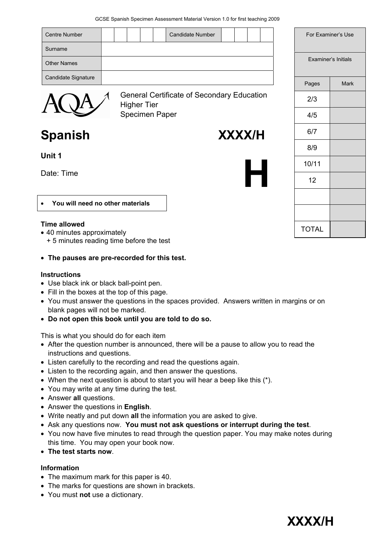GCSE Spanish Specimen Assessment Material Version 1.0 for first teaching 2009

| <b>Centre Number</b> | <b>Candidate Number</b>                                                 |       | For Examiner's Use  |
|----------------------|-------------------------------------------------------------------------|-------|---------------------|
| Surname              |                                                                         |       |                     |
| <b>Other Names</b>   |                                                                         |       | Examiner's Initials |
| Candidate Signature  |                                                                         | Pages | <b>Mark</b>         |
|                      | <b>General Certificate of Secondary Education</b><br><b>Higher Tier</b> | 2/3   |                     |
|                      | Specimen Paper                                                          | 4/5   |                     |
| <b>Spanish</b>       | <b>XXXX/H</b>                                                           | 6/7   |                     |
|                      |                                                                         |       |                     |
| Unit 1               |                                                                         | 10/11 |                     |
| Date: Time           |                                                                         | 12    |                     |
|                      |                                                                         |       |                     |

|  | You will need no other materials |
|--|----------------------------------|
|--|----------------------------------|

#### **Time allowed**

- 40 minutes approximately
	- + 5 minutes reading time before the test
- **The pauses are pre-recorded for this test.**

#### **Instructions**

- Use black ink or black ball-point pen.
- Fill in the boxes at the top of this page.
- You must answer the questions in the spaces provided. Answers written in margins or on blank pages will not be marked.
- **Do not open this book until you are told to do so.**

This is what you should do for each item

- After the question number is announced, there will be a pause to allow you to read the instructions and questions.
- Listen carefully to the recording and read the questions again.
- Listen to the recording again, and then answer the questions.
- When the next question is about to start you will hear a beep like this (\*).
- You may write at any time during the test.
- Answer **all** questions.
- Answer the questions in **English**.
- Write neatly and put down **all** the information you are asked to give.
- Ask any questions now. **You must not ask questions or interrupt during the test**.
- You now have five minutes to read through the question paper. You may make notes during this time. You may open your book now.
- **The test starts now**.

#### **Information**

- The maximum mark for this paper is 40.
- The marks for questions are shown in brackets.
- You must **not** use a dictionary.



TOTAL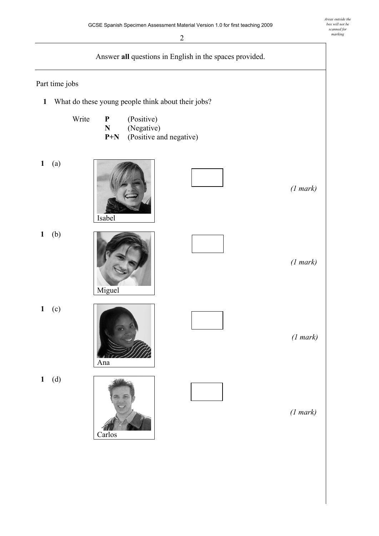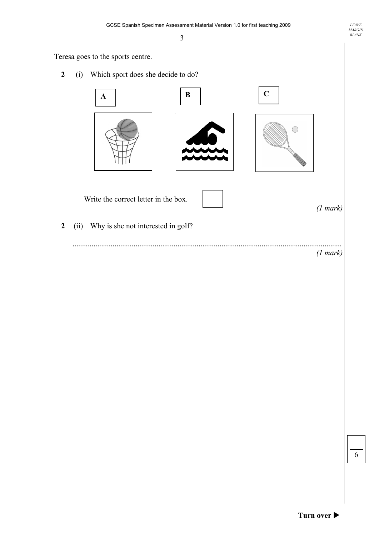3 Teresa goes to the sports centre. **2** (i) Which sport does she decide to do? **A** | **B** | **C**  $\bigcap$ D Write the correct letter in the box*. (1 mark)*   **2** (ii) Why is she not interested in golf? ............................................................................................................................................. *(1 mark)*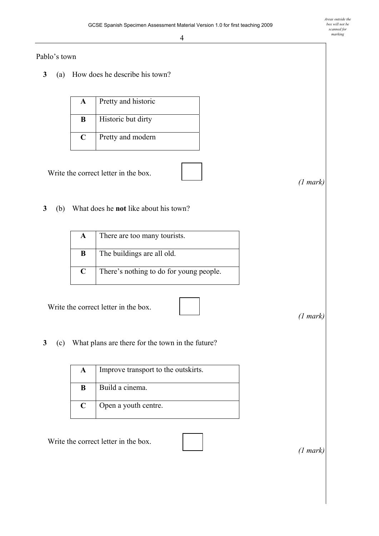#### Pablo's town

**3** (a) How does he describe his town?

| A | <b>Pretty and historic</b> |
|---|----------------------------|
| B | Historic but dirty         |
| C | Pretty and modern          |

Write the correct letter in the box.

*(1 mark)* 

**3** (b) What does he **not** like about his town?

| A | There are too many tourists.            |
|---|-----------------------------------------|
| B | The buildings are all old.              |
| C | There's nothing to do for young people. |

Write the correct letter in the box.

*(1 mark)* 

**3** (c) What plans are there for the town in the future?

| $\mathbf{A}$ | Improve transport to the outskirts. |
|--------------|-------------------------------------|
| B            | Build a cinema.                     |
| $\mathbf C$  | Open a youth centre.                |

Write the correct letter in the box.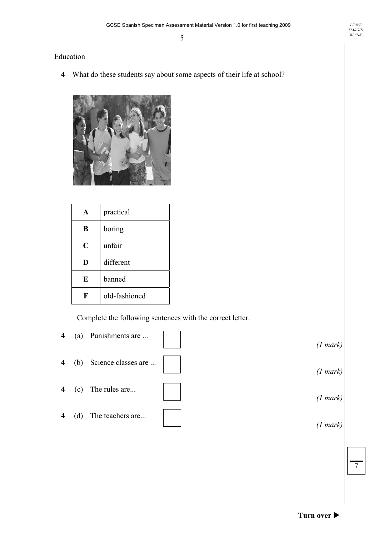### Education

**4** What do these students say about some aspects of their life at school?



| $\blacktriangle$ | practical     |
|------------------|---------------|
| B                | boring        |
| C                | unfair        |
| D                | different     |
| E                | banned        |
| F                | old-fashioned |

Complete the following sentences with the correct letter.

- **4** (a) Punishments are ...
- **4** (b) Science classes are ...
- **4** (c) The rules are...

| 4 | (d) | The teachers are |  |
|---|-----|------------------|--|
|---|-----|------------------|--|

*(1 mark)* 

*(1 mark)*

*(1 mark)* 

*(1 mark)*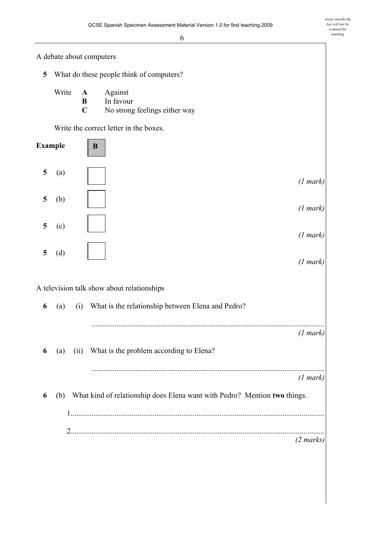# 6 A debate about computers **5** What do these people think of computers? Write **A** Against **B** In favour **C** No strong feelings either way Write the correct letter in the boxes. **Example 5** (a) *(1 mark)*  **5** (b) *(1 mark)*   **5** (c) *(1 mark)*  **5** (d) *(1 mark)*  A television talk show about relationships **6** (a) (i) What is the relationship between Elena and Pedro? .......................................................................................................................... *(1 mark)*  **6** (a) (ii) What is the problem according to Elena? .......................................................................................................................... *(1 mark)*  **6** (b) What kind of relationship does Elena want with Pedro? Mention **two** things. 1..................................................................................................................................... 2..................................................................................................................................... *(2 marks)*  **B**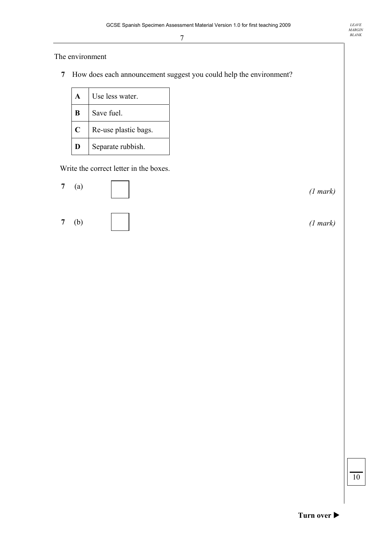The environment

 **7** How does each announcement suggest you could help the environment?

7

|             | Use less water.      |
|-------------|----------------------|
| В           | Save fuel.           |
| $\mathbf C$ | Re-use plastic bags. |
| D           | Separate rubbish.    |

Write the correct letter in the boxes.

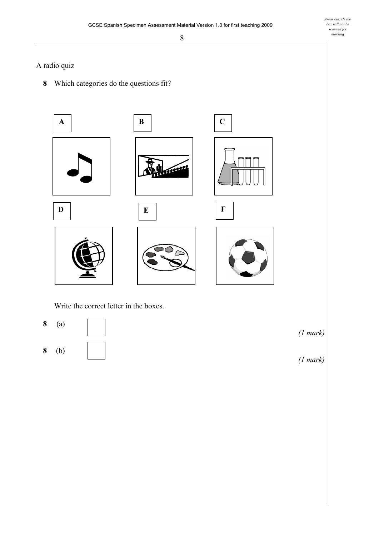*Areas outside the box will not be scanned for marking* 

# A radio quiz

**8** Which categories do the questions fit?



















Write the correct letter in the boxes.



*(1 mark)*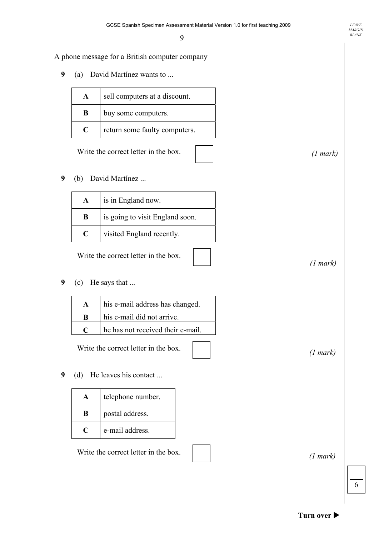A phone message for a British computer company

**9** (a) David Martínez wants to ...

| $\mathbf{A}$ | sell computers at a discount. |
|--------------|-------------------------------|
| B            | buy some computers.           |
| €            | return some faulty computers. |

Write the correct letter in the box.

**9** (b) David Martínez ...

| A | is in England now.              |
|---|---------------------------------|
| B | is going to visit England soon. |
| C | visited England recently.       |

Write the correct letter in the box.

**9** (c) He says that ...

| his e-mail address has changed.   |
|-----------------------------------|
| his e-mail did not arrive.        |
| he has not received their e-mail. |

Write the correct letter in the box.

 *(1 mark)* 

 *(1 mark)* 

 *(1 mark)* 

**9** (d) He leaves his contact ...

|   | telephone number. |
|---|-------------------|
| R | postal address.   |
| O | e-mail address.   |

Write the correct letter in the box.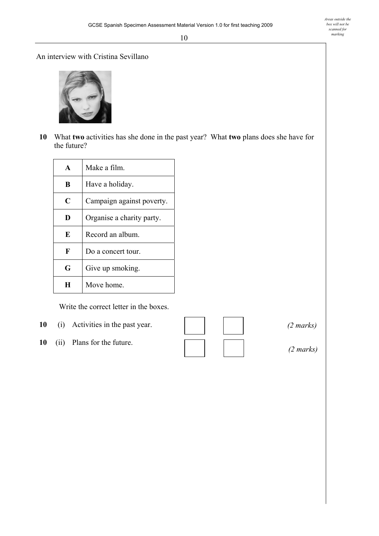#### An interview with Cristina Sevillano



**10** What **two** activities has she done in the past year? What **two** plans does she have for the future?

| A | Make a film.              |
|---|---------------------------|
| B | Have a holiday.           |
| C | Campaign against poverty. |
| D | Organise a charity party. |
| E | Record an album.          |
| F | Do a concert tour         |
| G | Give up smoking.          |
|   | Move home.                |

Write the correct letter in the boxes.

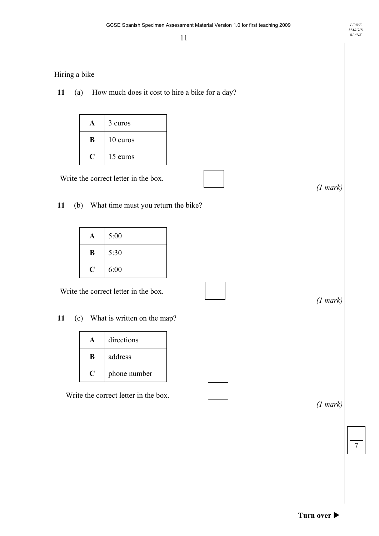Hiring a bike

**11** (a) How much does it cost to hire a bike for a day?

|   | 3 euros  |
|---|----------|
| B | 10 euros |
|   | 15 euros |

Write the correct letter in the box.

**11** (b) What time must you return the bike?

| A | 5:00 |
|---|------|
| B | 5:30 |
| € | 6:00 |

Write the correct letter in the box.

**11** (c) What is written on the map?

|   | directions   |
|---|--------------|
| B | address      |
|   | phone number |

Write the correct letter in the box.

*(1 mark)* 

7

*(1 mark)*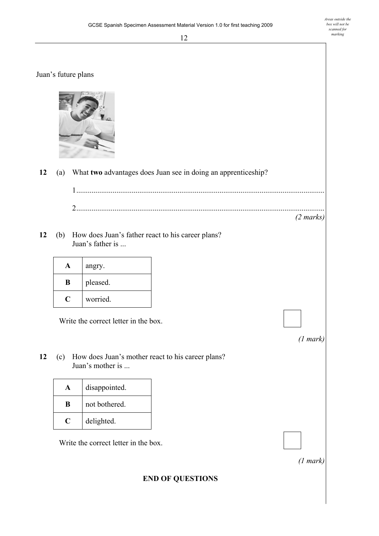Juan's future plans



**12** (a) What **two** advantages does Juan see in doing an apprenticeship?

 1.................................................................................................................................. 2..................................................................................................................................



**12** (b) How does Juan's father react to his career plans? Juan's father is ...

| A | angry.   |
|---|----------|
| B | pleased. |
|   | worried. |

Write the correct letter in the box.

*(1 mark)* 

**12** (c) How does Juan's mother react to his career plans? Juan's mother is ...

|              | disappointed. |
|--------------|---------------|
| $\mathbf{R}$ | not bothered. |
| $\left($     | delighted.    |

Write the correct letter in the box.

*(1 mark)* 

# **END OF QUESTIONS**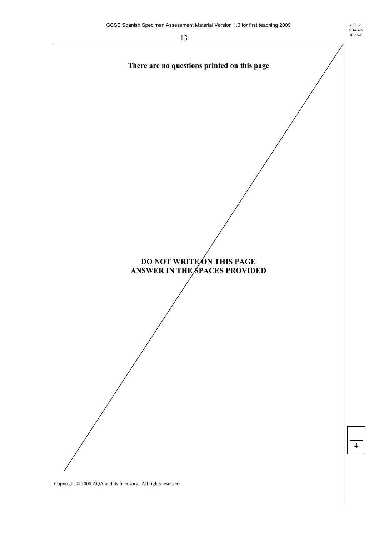

Copyright © 2008 AQA and its licensors. All rights reserved.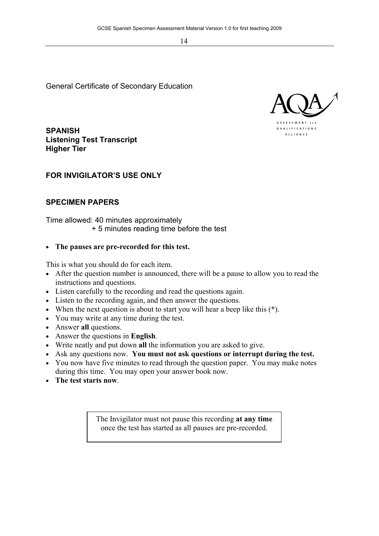General Certificate of Secondary Education

**SPANISH Listening Test Transcript Higher Tier** 

# **FOR INVIGILATOR'S USE ONLY**

# **SPECIMEN PAPERS**

Time allowed: 40 minutes approximately + 5 minutes reading time before the test

#### • **The pauses are pre-recorded for this test.**

This is what you should do for each item.

- After the question number is announced, there will be a pause to allow you to read the instructions and questions.
- Listen carefully to the recording and read the questions again.
- Listen to the recording again, and then answer the questions.
- When the next question is about to start you will hear a beep like this (\*).
- You may write at any time during the test.
- Answer **all** questions.
- Answer the questions in **English**.
- Write neatly and put down **all** the information you are asked to give.
- Ask any questions now. **You must not ask questions or interrupt during the test.**
- You now have five minutes to read through the question paper. You may make notes during this time. You may open your answer book now.
- **The test starts now**.

The Invigilator must not pause this recording **at any time** once the test has started as all pauses are pre-recorded.

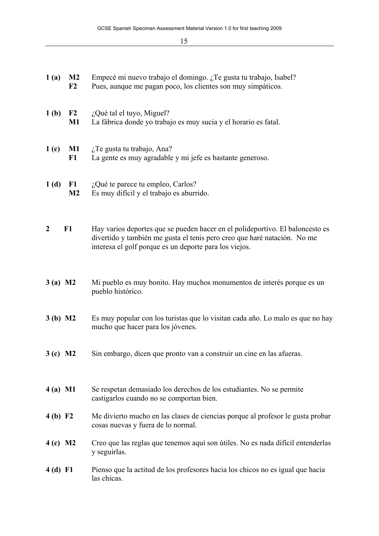| 1(a)             | $\mathbf{M2}$<br>F2          | Empecé mi nuevo trabajo el domingo. ¿Te gusta tu trabajo, Isabel?<br>Pues, aunque me pagan poco, los clientes son muy simpáticos.                                                                                   |
|------------------|------------------------------|---------------------------------------------------------------------------------------------------------------------------------------------------------------------------------------------------------------------|
| 1 <sub>(b)</sub> | F2<br>$\mathbf{M}1$          | ¿Qué tal el tuyo, Miguel?<br>La fábrica donde yo trabajo es muy sucia y el horario es fatal.                                                                                                                        |
| 1(c)             | $\mathbf{M}1$<br>F1          | ¿Te gusta tu trabajo, Ana?<br>La gente es muy agradable y mi jefe es bastante generoso.                                                                                                                             |
| 1(d)             | ${\bf F1}$<br>M <sub>2</sub> | ¿Qué te parece tu empleo, Carlos?<br>Es muy difícil y el trabajo es aburrido.                                                                                                                                       |
| $\boldsymbol{2}$ | F1                           | Hay varios deportes que se pueden hacer en el polideportivo. El baloncesto es<br>divertido y también me gusta el tenis pero creo que haré natación. No me<br>interesa el golf porque es un deporte para los viejos. |
| $3(a)$ M2        |                              | Mi pueblo es muy bonito. Hay muchos monumentos de interés porque es un<br>pueblo histórico.                                                                                                                         |
| $3(b)$ M2        |                              | Es muy popular con los turistas que lo visitan cada año. Lo malo es que no hay<br>mucho que hacer para los jóvenes.                                                                                                 |
| $3(c)$ M2        |                              | Sin embargo, dicen que pronto van a construir un cine en las afueras.                                                                                                                                               |
| $4(a)$ M1        |                              | Se respetan demasiado los derechos de los estudiantes. No se permite<br>castigarlos cuando no se comportan bien.                                                                                                    |
| 4 (b) F2         |                              | Me divierto mucho en las clases de ciencias porque al profesor le gusta probar<br>cosas nuevas y fuera de lo normal.                                                                                                |
| $4(c)$ M2        |                              | Creo que las reglas que tenemos aquí son útiles. No es nada difícil entenderlas<br>y seguirlas.                                                                                                                     |
| 4 (d) F1         |                              | Pienso que la actitud de los profesores hacia los chicos no es igual que hacia<br>las chicas.                                                                                                                       |
|                  |                              |                                                                                                                                                                                                                     |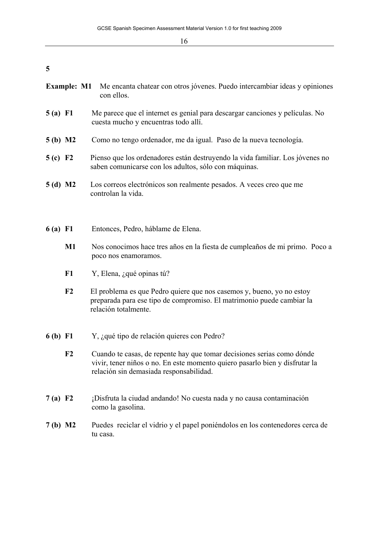- **Example:** M1 Me encanta chatear con otros jóvenes. Puedo intercambiar ideas y opiniones con ellos.
- **5 (a) F1** Me parece que el internet es genial para descargar canciones y películas. No cuesta mucho y encuentras todo allí.
- **5 (b) M2** Como no tengo ordenador, me da igual. Paso de la nueva tecnología.
- **5 (c) F2** Pienso que los ordenadores están destruyendo la vida familiar. Los jóvenes no saben comunicarse con los adultos, sólo con máquinas.
- **5 (d) M2** Los correos electrónicos son realmente pesados. A veces creo que me controlan la vida.
- **6 (a) F1** Entonces, Pedro, háblame de Elena.
	- **M1** Nos conocimos hace tres años en la fiesta de cumpleaños de mi primo. Poco a poco nos enamoramos.
	- **F1** Y, Elena, ¿qué opinas tú?
	- **F2** El problema es que Pedro quiere que nos casemos y, bueno, yo no estoy preparada para ese tipo de compromiso. El matrimonio puede cambiar la relación totalmente.
- **6 (b) F1** Y, ¿qué tipo de relación quieres con Pedro?
	- **F2** Cuando te casas, de repente hay que tomar decisiones serias como dónde vivir, tener niños o no. En este momento quiero pasarlo bien y disfrutar la relación sin demasiada responsabilidad.
- **7 (a) F2** ¡Disfruta la ciudad andando! No cuesta nada y no causa contaminación como la gasolina.
- **7 (b) M2** Puedes reciclar el vidrio y el papel poniéndolos en los contenedores cerca de tu casa.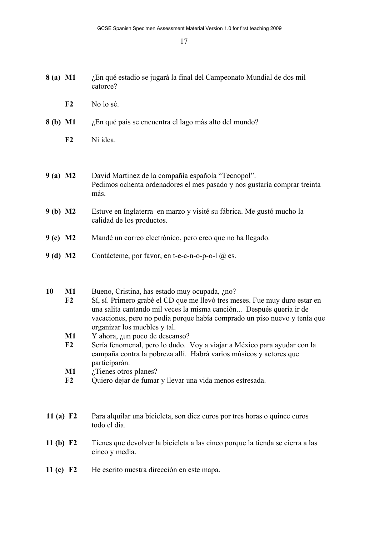| 8(a) M1                 |                                         | ¿En qué estadio se jugará la final del Campeonato Mundial de dos mil<br>catorce?                                                                                                                                                                                                                                                                                                                                                                                                                                                                                                                        |
|-------------------------|-----------------------------------------|---------------------------------------------------------------------------------------------------------------------------------------------------------------------------------------------------------------------------------------------------------------------------------------------------------------------------------------------------------------------------------------------------------------------------------------------------------------------------------------------------------------------------------------------------------------------------------------------------------|
|                         | F <sub>2</sub>                          | No lo sé.                                                                                                                                                                                                                                                                                                                                                                                                                                                                                                                                                                                               |
| 8(b) M1                 |                                         | ¿En qué país se encuentra el lago más alto del mundo?                                                                                                                                                                                                                                                                                                                                                                                                                                                                                                                                                   |
|                         | F <sub>2</sub>                          | Ni idea.                                                                                                                                                                                                                                                                                                                                                                                                                                                                                                                                                                                                |
|                         |                                         |                                                                                                                                                                                                                                                                                                                                                                                                                                                                                                                                                                                                         |
| $9(a)$ M2               |                                         | David Martínez de la compañía española "Tecnopol".<br>Pedimos ochenta ordenadores el mes pasado y nos gustaría comprar treinta<br>más.                                                                                                                                                                                                                                                                                                                                                                                                                                                                  |
| 9(b) M2                 |                                         | Estuve en Inglaterra en marzo y visité su fábrica. Me gustó mucho la<br>calidad de los productos.                                                                                                                                                                                                                                                                                                                                                                                                                                                                                                       |
| 9 (c) M2                |                                         | Mandé un correo electrónico, pero creo que no ha llegado.                                                                                                                                                                                                                                                                                                                                                                                                                                                                                                                                               |
| $9(d)$ M2               |                                         | Contácteme, por favor, en t-e-c-n-o-p-o-l @ es.                                                                                                                                                                                                                                                                                                                                                                                                                                                                                                                                                         |
| <b>10</b>               | M1<br>F2<br>M1<br>F2<br><b>M1</b><br>F2 | Bueno, Cristina, has estado muy ocupada, ¿no?<br>Sí, sí. Primero grabé el CD que me llevó tres meses. Fue muy duro estar en<br>una salita cantando mil veces la misma canción Después quería ir de<br>vacaciones, pero no podía porque había comprado un piso nuevo y tenía que<br>organizar los muebles y tal.<br>Y ahora, un poco de descanso?<br>Sería fenomenal, pero lo dudo. Voy a viajar a México para ayudar con la<br>campaña contra la pobreza allí. Habrá varios músicos y actores que<br>participarán.<br>¿Tienes otros planes?<br>Quiero dejar de fumar y llevar una vida menos estresada. |
| 11 $(a) F2$             |                                         | Para alquilar una bicicleta, son diez euros por tres horas o quince euros<br>todo el día.                                                                                                                                                                                                                                                                                                                                                                                                                                                                                                               |
| 11 $(b)$ F <sub>2</sub> |                                         | Tienes que devolver la bicicleta a las cinco porque la tienda se cierra a las<br>cinco y media.                                                                                                                                                                                                                                                                                                                                                                                                                                                                                                         |
| 11 $(c)$ F <sub>2</sub> |                                         | He escrito nuestra dirección en este mapa.                                                                                                                                                                                                                                                                                                                                                                                                                                                                                                                                                              |